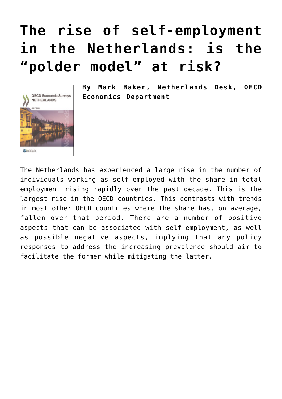## **[The rise of self-employment](https://oecdecoscope.blog/2018/07/02/the-rise-of-self-employment-in-the-netherlands-is-the-polder-model-at-risk/) [in the Netherlands: is the](https://oecdecoscope.blog/2018/07/02/the-rise-of-self-employment-in-the-netherlands-is-the-polder-model-at-risk/) ["polder model" at risk?](https://oecdecoscope.blog/2018/07/02/the-rise-of-self-employment-in-the-netherlands-is-the-polder-model-at-risk/)**



**By Mark Baker, Netherlands Desk, OECD Economics Department**

The Netherlands has experienced a large rise in the number of individuals working as self-employed with the share in total employment rising rapidly over the past decade. This is the largest rise in the OECD countries. This contrasts with trends in most other OECD countries where the share has, on average, fallen over that period. There are a number of positive aspects that can be associated with self-employment, as well as possible negative aspects, implying that any policy responses to address the increasing prevalence should aim to facilitate the former while mitigating the latter.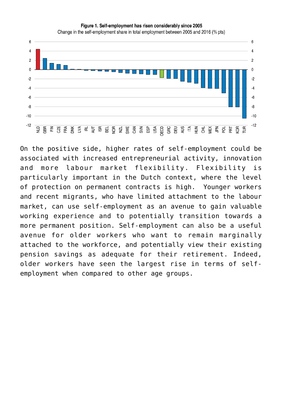Figure 1. Self-employment has risen considerably since 2005



On the positive side, higher rates of self-employment could be associated with increased entrepreneurial activity, innovation and more labour market flexibility. Flexibility is particularly important in the Dutch context, where the level of protection on permanent contracts is high. Younger workers and recent migrants, who have limited attachment to the labour market, can use self-employment as an avenue to gain valuable working experience and to potentially transition towards a more permanent position. Self-employment can also be a useful avenue for older workers who want to remain marginally attached to the workforce, and potentially view their existing pension savings as adequate for their retirement. Indeed, older workers have seen the largest rise in terms of selfemployment when compared to other age groups.

Change in the self-employment share in total employment between 2005 and 2016 (% pts)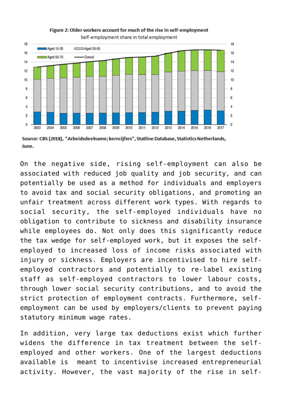

## Figure 2: Older workers account for much of the rise in self-employment Self-employment share in total employment

Source: CBS (2018), "Arbeidsdeelname; kerncijfers", Statline Database, Statistics Netherlands, June.

On the negative side, rising self-employment can also be associated with reduced job quality and job security, and can potentially be used as a method for individuals and employers to avoid tax and social security obligations, and promoting an unfair treatment across different work types. With regards to social security, the self-employed individuals have no obligation to contribute to sickness and disability insurance while employees do. Not only does this significantly reduce the tax wedge for self-employed work, but it exposes the selfemployed to increased loss of income risks associated with injury or sickness. Employers are incentivised to hire selfemployed contractors and potentially to re-label existing staff as self-employed contractors to lower labour costs, through lower social security contributions, and to avoid the strict protection of employment contracts. Furthermore, selfemployment can be used by employers/clients to prevent paying statutory minimum wage rates.

In addition, very large tax deductions exist which further widens the difference in tax treatment between the selfemployed and other workers. One of the largest deductions available is meant to incentivise increased entrepreneurial activity. However, the vast majority of the rise in self